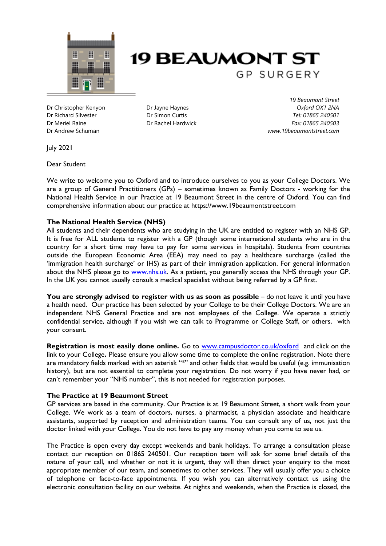



Dr Christopher Kenyon Dr Richard Silvester Dr Meriel Raine Dr Andrew Schuman

Dr Jayne Haynes Dr Simon Curtis Dr Rachel Hardwick

*19 Beaumont Street Oxford OX1 2NA Tel: 01865 240501 Fax: 01865 240503 www.19beaumontstreet.com*

July 2021

Dear Student

We write to welcome you to Oxford and to introduce ourselves to you as your College Doctors. We are a group of General Practitioners (GPs) – sometimes known as Family Doctors - working for the National Health Service in our Practice at 19 Beaumont Street in the centre of Oxford. You can find comprehensive information about our practice at https://www.19beaumontstreet.com

# **The National Health Service (NHS)**

All students and their dependents who are studying in the UK are entitled to register with an NHS GP. It is free for ALL students to register with a GP (though some international students who are in the country for a short time may have to pay for some services in hospitals). Students from countries outside the European Economic Area (EEA) may need to pay a healthcare surcharge (called the 'immigration health surcharge' or IHS) as part of their immigration application. For general information about the NHS please go to [www.nhs.uk.](http://www.nhs.uk/) As a patient, you generally access the NHS through your GP. In the UK you cannot usually consult a medical specialist without being referred by a GP first.

**You are strongly advised to register with us as soon as possible** – do not leave it until you have a health need. Our practice has been selected by your College to be their College Doctors. We are an independent NHS General Practice and are not employees of the College. We operate a strictly confidential service, although if you wish we can talk to Programme or College Staff, or others, with your consent.

**Registration is most easily done online.** Go to [www.campusdoctor.co.uk/oxford](http://www.campusdoctor.co.uk/oxford)and click on the link to your College**.** Please ensure you allow some time to complete the online registration. Note there are mandatory fields marked with an asterisk "\*" and other fields that would be useful (e.g. immunisation history), but are not essential to complete your registration. Do not worry if you have never had, or can't remember your "NHS number", this is not needed for registration purposes.

# **The Practice at 19 Beaumont Street**

GP services are based in the community. Our Practice is at 19 Beaumont Street, a short walk from your College. We work as a team of doctors, nurses, a pharmacist, a physician associate and healthcare assistants, supported by reception and administration teams. You can consult any of us, not just the doctor linked with your College. You do not have to pay any money when you come to see us.

The Practice is open every day except weekends and bank holidays. To arrange a consultation please contact our reception on 01865 240501. Our reception team will ask for some brief details of the nature of your call, and whether or not it is urgent, they will then direct your enquiry to the most appropriate member of our team, and sometimes to other services. They will usually offer you a choice of telephone or face-to-face appointments. If you wish you can alternatively contact us using the electronic consultation facility on our website. At nights and weekends, when the Practice is closed, the